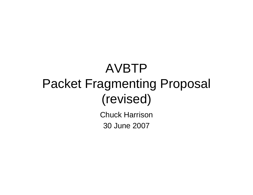## AVBTP Packet Fragmenting Proposal (revised)

Chuck Harrison 30 June 2007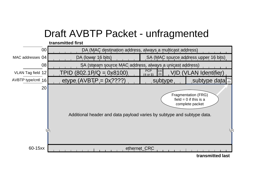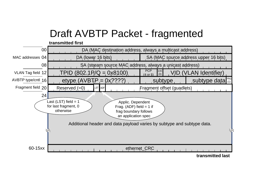## Draft AVBTP Packet - fragmented

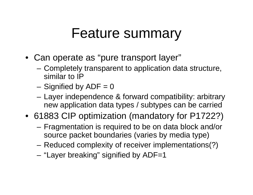## Feature summary

- Can operate as "pure transport layer"
	- Completely transparent to application data structure, similar to IP
	- $-$  Signified by ADF = 0
	- Layer independence & forward compatibility: arbitrary new application data types / subtypes can be carried
- 61883 CIP optimization (mandatory for P1722?)
	- Fragmentation is required to be on data block and/or source packet boundaries (varies by media type)
	- Reduced complexity of receiver implementations(?)
	- "Layer breaking" signified by ADF=1